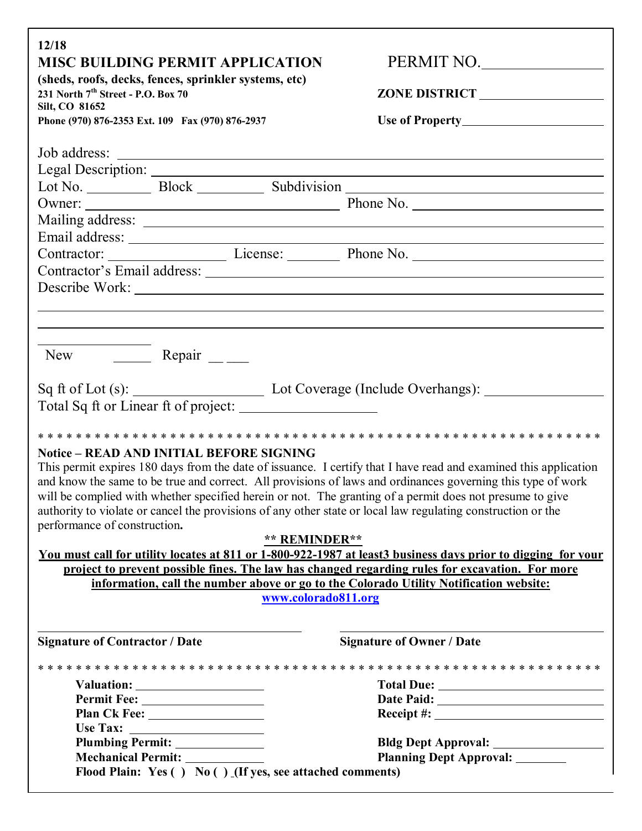| 12/18<br><b>MISC BUILDING PERMIT APPLICATION</b><br>(sheds, roofs, decks, fences, sprinkler systems, etc)<br>231 North 7 <sup>th</sup> Street - P.O. Box 70<br>Silt, CO 81652<br>Phone (970) 876-2353 Ext. 109 Fax (970) 876-2937                                                                                                                                                                                                                                                                                                                                      | PERMIT NO.                                                             |
|------------------------------------------------------------------------------------------------------------------------------------------------------------------------------------------------------------------------------------------------------------------------------------------------------------------------------------------------------------------------------------------------------------------------------------------------------------------------------------------------------------------------------------------------------------------------|------------------------------------------------------------------------|
|                                                                                                                                                                                                                                                                                                                                                                                                                                                                                                                                                                        |                                                                        |
|                                                                                                                                                                                                                                                                                                                                                                                                                                                                                                                                                                        |                                                                        |
|                                                                                                                                                                                                                                                                                                                                                                                                                                                                                                                                                                        |                                                                        |
| Contractor: License: Phone No.<br>Contractor's Email address:                                                                                                                                                                                                                                                                                                                                                                                                                                                                                                          |                                                                        |
| Describe Work:                                                                                                                                                                                                                                                                                                                                                                                                                                                                                                                                                         | <u> 1989 - John Stone, amerikansk politiker (d. 1989)</u>              |
| New Repair $\frac{1}{\sqrt{1-\frac{1}{2}}\sqrt{1-\frac{1}{2}}\left(\frac{1}{\sqrt{1-\frac{1}{2}}}\right)}$                                                                                                                                                                                                                                                                                                                                                                                                                                                             |                                                                        |
| Sq ft of Lot (s): Lot Coverage (Include Overhangs): ____________________________<br>Total Sq ft or Linear ft of project:                                                                                                                                                                                                                                                                                                                                                                                                                                               |                                                                        |
| <b>Notice – READ AND INITIAL BEFORE SIGNING</b><br>This permit expires 180 days from the date of issuance. I certify that I have read and examined this application<br>and know the same to be true and correct. All provisions of laws and ordinances governing this type of work<br>will be complied with whether specified herein or not. The granting of a permit does not presume to give<br>authority to violate or cancel the provisions of any other state or local law regulating construction or the<br>performance of construction.<br><b>** REMINDER**</b> |                                                                        |
| You must call for utility locates at 811 or 1-800-922-1987 at least 3 business days prior to digging for your                                                                                                                                                                                                                                                                                                                                                                                                                                                          |                                                                        |
| project to prevent possible fines. The law has changed regarding rules for excavation. For more                                                                                                                                                                                                                                                                                                                                                                                                                                                                        |                                                                        |
| information, call the number above or go to the Colorado Utility Notification website:<br>www.colorado811.org                                                                                                                                                                                                                                                                                                                                                                                                                                                          |                                                                        |
| <b>Signature of Contractor / Date</b>                                                                                                                                                                                                                                                                                                                                                                                                                                                                                                                                  | <b>Signature of Owner / Date</b>                                       |
|                                                                                                                                                                                                                                                                                                                                                                                                                                                                                                                                                                        |                                                                        |
|                                                                                                                                                                                                                                                                                                                                                                                                                                                                                                                                                                        |                                                                        |
|                                                                                                                                                                                                                                                                                                                                                                                                                                                                                                                                                                        |                                                                        |
|                                                                                                                                                                                                                                                                                                                                                                                                                                                                                                                                                                        |                                                                        |
| Use Tax: $\qquad \qquad$                                                                                                                                                                                                                                                                                                                                                                                                                                                                                                                                               |                                                                        |
| Plumbing Permit: ______________<br>Flood Plain: Yes () No () (If yes, see attached comments)                                                                                                                                                                                                                                                                                                                                                                                                                                                                           | Bldg Dept Approval: ________________<br><b>Planning Dept Approval:</b> |